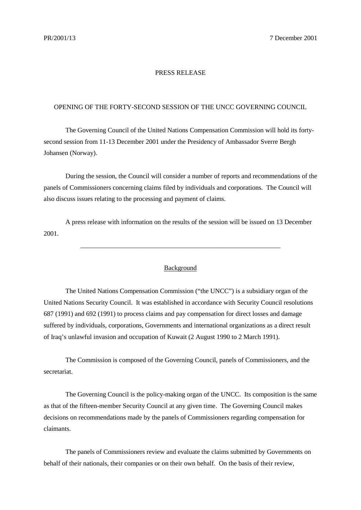## PRESS RELEASE

## OPENING OF THE FORTY-SECOND SESSION OF THE UNCC GOVERNING COUNCIL

The Governing Council of the United Nations Compensation Commission will hold its fortysecond session from 11-13 December 2001 under the Presidency of Ambassador Sverre Bergh Johansen (Norway).

During the session, the Council will consider a number of reports and recommendations of the panels of Commissioners concerning claims filed by individuals and corporations. The Council will also discuss issues relating to the processing and payment of claims.

A press release with information on the results of the session will be issued on 13 December 2001.

## **Background**

\_\_\_\_\_\_\_\_\_\_\_\_\_\_\_\_\_\_\_\_\_\_\_\_\_\_\_\_\_\_\_\_\_\_\_\_\_\_\_\_\_\_\_\_\_\_\_\_\_\_\_\_\_\_\_\_\_\_\_\_

The United Nations Compensation Commission ("the UNCC") is a subsidiary organ of the United Nations Security Council. It was established in accordance with Security Council resolutions 687 (1991) and 692 (1991) to process claims and pay compensation for direct losses and damage suffered by individuals, corporations, Governments and international organizations as a direct result of Iraq's unlawful invasion and occupation of Kuwait (2 August 1990 to 2 March 1991).

The Commission is composed of the Governing Council, panels of Commissioners, and the secretariat.

The Governing Council is the policy-making organ of the UNCC. Its composition is the same as that of the fifteen-member Security Council at any given time. The Governing Council makes decisions on recommendations made by the panels of Commissioners regarding compensation for claimants.

The panels of Commissioners review and evaluate the claims submitted by Governments on behalf of their nationals, their companies or on their own behalf. On the basis of their review,